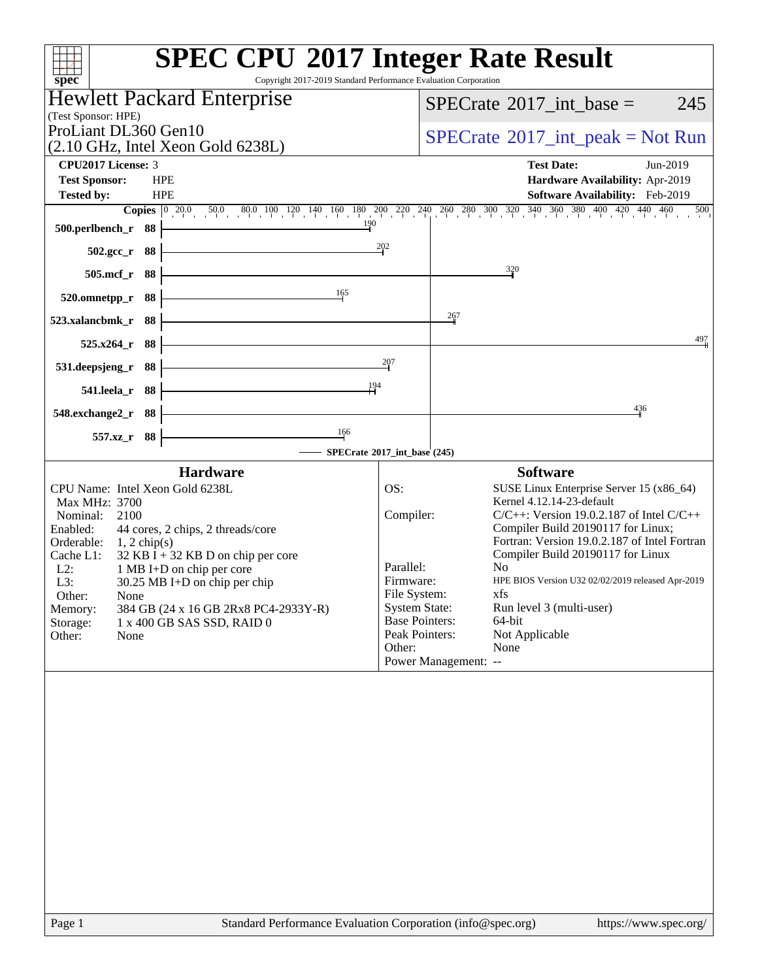| <b>SPEC CPU®2017 Integer Rate Result</b><br>Copyright 2017-2019 Standard Performance Evaluation Corporation<br>spec <sup>®</sup>                                                                                                                                                                                                                                                                                        |                                                                                                                                         |                                                                                                                                                                                                                                                                                                                                                                                                             |  |  |  |  |
|-------------------------------------------------------------------------------------------------------------------------------------------------------------------------------------------------------------------------------------------------------------------------------------------------------------------------------------------------------------------------------------------------------------------------|-----------------------------------------------------------------------------------------------------------------------------------------|-------------------------------------------------------------------------------------------------------------------------------------------------------------------------------------------------------------------------------------------------------------------------------------------------------------------------------------------------------------------------------------------------------------|--|--|--|--|
| <b>Hewlett Packard Enterprise</b><br>(Test Sponsor: HPE)                                                                                                                                                                                                                                                                                                                                                                |                                                                                                                                         | $SPECrate^{\circledast}2017$ int base =<br>245                                                                                                                                                                                                                                                                                                                                                              |  |  |  |  |
| ProLiant DL360 Gen10<br>(2.10 GHz, Intel Xeon Gold 6238L)                                                                                                                                                                                                                                                                                                                                                               |                                                                                                                                         | $SPECrate^{\circledcirc}2017\_int\_peak = Not Run$                                                                                                                                                                                                                                                                                                                                                          |  |  |  |  |
| CPU2017 License: 3                                                                                                                                                                                                                                                                                                                                                                                                      |                                                                                                                                         | <b>Test Date:</b><br>Jun-2019                                                                                                                                                                                                                                                                                                                                                                               |  |  |  |  |
| <b>HPE</b><br><b>Test Sponsor:</b><br><b>Tested by:</b><br><b>HPE</b>                                                                                                                                                                                                                                                                                                                                                   |                                                                                                                                         | Hardware Availability: Apr-2019<br>Software Availability: Feb-2019                                                                                                                                                                                                                                                                                                                                          |  |  |  |  |
| 190<br>500.perlbench_r 88                                                                                                                                                                                                                                                                                                                                                                                               |                                                                                                                                         | <b>Copies</b> $\begin{bmatrix} 0 & 20.0 & 50.0 & 80.0 & 100 & 120 & 140 & 160 & 180 & 200 & 220 & 240 & 260 & 280 & 300 & 320 & 340 & 360 & 400 & 420 & 440 & 460 \end{bmatrix}$                                                                                                                                                                                                                            |  |  |  |  |
| 502.gcc_r 88                                                                                                                                                                                                                                                                                                                                                                                                            | 202                                                                                                                                     |                                                                                                                                                                                                                                                                                                                                                                                                             |  |  |  |  |
| 505.mcf_r 88                                                                                                                                                                                                                                                                                                                                                                                                            |                                                                                                                                         | $\frac{320}{4}$                                                                                                                                                                                                                                                                                                                                                                                             |  |  |  |  |
| 165<br>520.omnetpp_r<br>- 88                                                                                                                                                                                                                                                                                                                                                                                            |                                                                                                                                         |                                                                                                                                                                                                                                                                                                                                                                                                             |  |  |  |  |
| 523.xalancbmk_r 88                                                                                                                                                                                                                                                                                                                                                                                                      |                                                                                                                                         | $\frac{267}{2}$                                                                                                                                                                                                                                                                                                                                                                                             |  |  |  |  |
| 525.x264_r 88                                                                                                                                                                                                                                                                                                                                                                                                           | 207                                                                                                                                     | $\frac{497}{4}$                                                                                                                                                                                                                                                                                                                                                                                             |  |  |  |  |
| 531.deepsjeng_r<br>88<br>194<br>541.leela_r 88                                                                                                                                                                                                                                                                                                                                                                          |                                                                                                                                         |                                                                                                                                                                                                                                                                                                                                                                                                             |  |  |  |  |
| 548.exchange2_r 88                                                                                                                                                                                                                                                                                                                                                                                                      |                                                                                                                                         | 436                                                                                                                                                                                                                                                                                                                                                                                                         |  |  |  |  |
| 166<br>557.xz_r 88                                                                                                                                                                                                                                                                                                                                                                                                      |                                                                                                                                         |                                                                                                                                                                                                                                                                                                                                                                                                             |  |  |  |  |
| SPECrate®2017_int_base (245)                                                                                                                                                                                                                                                                                                                                                                                            |                                                                                                                                         |                                                                                                                                                                                                                                                                                                                                                                                                             |  |  |  |  |
| <b>Hardware</b>                                                                                                                                                                                                                                                                                                                                                                                                         |                                                                                                                                         | <b>Software</b>                                                                                                                                                                                                                                                                                                                                                                                             |  |  |  |  |
| CPU Name: Intel Xeon Gold 6238L<br>Max MHz: 3700<br>Nominal: 2100<br>Enabled:<br>44 cores, 2 chips, 2 threads/core<br>Orderable:<br>$1, 2$ chip(s)<br>$32$ KB I + 32 KB D on chip per core<br>Cache L1:<br>$L2$ :<br>1 MB I+D on chip per core<br>L3:<br>30.25 MB I+D on chip per chip<br>Other:<br>None<br>Memory:<br>384 GB (24 x 16 GB 2Rx8 PC4-2933Y-R)<br>1 x 400 GB SAS SSD, RAID 0<br>Storage:<br>Other:<br>None | OS:<br>Compiler:<br>Parallel:<br>Firmware:<br>File System:<br><b>System State:</b><br><b>Base Pointers:</b><br>Peak Pointers:<br>Other: | SUSE Linux Enterprise Server 15 (x86_64)<br>Kernel 4.12.14-23-default<br>$C/C++$ : Version 19.0.2.187 of Intel $C/C++$<br>Compiler Build 20190117 for Linux;<br>Fortran: Version 19.0.2.187 of Intel Fortran<br>Compiler Build 20190117 for Linux<br>No<br>HPE BIOS Version U32 02/02/2019 released Apr-2019<br>xfs<br>Run level 3 (multi-user)<br>64-bit<br>Not Applicable<br>None<br>Power Management: -- |  |  |  |  |
| Standard Performance Evaluation Corporation (info@spec.org)<br>Page 1                                                                                                                                                                                                                                                                                                                                                   |                                                                                                                                         | https://www.spec.org/                                                                                                                                                                                                                                                                                                                                                                                       |  |  |  |  |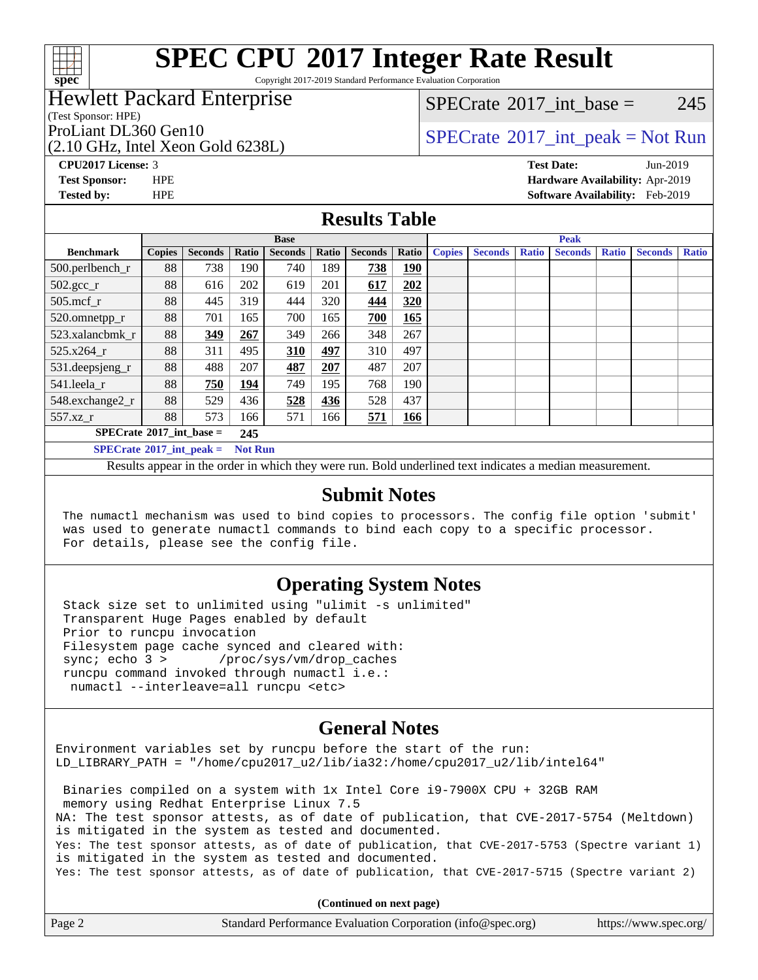

# **[SPEC CPU](http://www.spec.org/auto/cpu2017/Docs/result-fields.html#SPECCPU2017IntegerRateResult)[2017 Integer Rate Result](http://www.spec.org/auto/cpu2017/Docs/result-fields.html#SPECCPU2017IntegerRateResult)**

Copyright 2017-2019 Standard Performance Evaluation Corporation

#### Hewlett Packard Enterprise

(Test Sponsor: HPE)

(2.10 GHz, Intel Xeon Gold 6238L)

[SPECrate](http://www.spec.org/auto/cpu2017/Docs/result-fields.html#SPECrate2017intbase)<sup>®</sup>2017 int base = 245

### ProLiant DL360 Gen10  $SPECTR$   $SPECTR$   $SCHR$   $SCHR$   $SCHR$   $SCHR$   $SCHR$   $SCHR$   $SCHR$   $SCHR$   $SCHR$   $SCHR$   $SCHR$   $SCHR$   $SCHR$   $SCHR$   $SCHR$   $SCHR$   $SCHR$   $SCHR$   $SCHR$   $SCHR$   $SCHR$   $SCHR$   $SCHR$   $SCHR$   $SCHR$   $SCHR$   $SCHR$   $SCHR$   $SCHR$   $SCHR$   $SCHR$   $S$

**[CPU2017 License:](http://www.spec.org/auto/cpu2017/Docs/result-fields.html#CPU2017License)** 3 **[Test Date:](http://www.spec.org/auto/cpu2017/Docs/result-fields.html#TestDate)** Jun-2019 **[Test Sponsor:](http://www.spec.org/auto/cpu2017/Docs/result-fields.html#TestSponsor)** HPE **[Hardware Availability:](http://www.spec.org/auto/cpu2017/Docs/result-fields.html#HardwareAvailability)** Apr-2019 **[Tested by:](http://www.spec.org/auto/cpu2017/Docs/result-fields.html#Testedby)** HPE **[Software Availability:](http://www.spec.org/auto/cpu2017/Docs/result-fields.html#SoftwareAvailability)** Feb-2019

#### **[Results Table](http://www.spec.org/auto/cpu2017/Docs/result-fields.html#ResultsTable)**

|                                     |               |                |                | <b>Base</b>    |       |                |            | <b>Peak</b>   |                |              |                |              |                |              |
|-------------------------------------|---------------|----------------|----------------|----------------|-------|----------------|------------|---------------|----------------|--------------|----------------|--------------|----------------|--------------|
| <b>Benchmark</b>                    | <b>Copies</b> | <b>Seconds</b> | Ratio          | <b>Seconds</b> | Ratio | <b>Seconds</b> | Ratio      | <b>Copies</b> | <b>Seconds</b> | <b>Ratio</b> | <b>Seconds</b> | <b>Ratio</b> | <b>Seconds</b> | <b>Ratio</b> |
| 500.perlbench_r                     | 88            | 738            | 190            | 740            | 189   | 738            | <u>190</u> |               |                |              |                |              |                |              |
| $502.\text{gcc}$ _r                 | 88            | 616            | 202            | 619            | 201   | 617            | 202        |               |                |              |                |              |                |              |
| $505$ .mcf r                        | 88            | 445            | 319            | 444            | 320   | 444            | 320        |               |                |              |                |              |                |              |
| 520.omnetpp_r                       | 88            | 701            | 165            | 700            | 165   | 700            | 165        |               |                |              |                |              |                |              |
| 523.xalancbmk r                     | 88            | 349            | 267            | 349            | 266   | 348            | 267        |               |                |              |                |              |                |              |
| 525.x264 r                          | 88            | 311            | 495            | 310            | 497   | 310            | 497        |               |                |              |                |              |                |              |
| 531.deepsjeng_r                     | 88            | 488            | 207            | 487            | 207   | 487            | 207        |               |                |              |                |              |                |              |
| 541.leela r                         | 88            | 750            | 194            | 749            | 195   | 768            | 190        |               |                |              |                |              |                |              |
| 548.exchange2_r                     | 88            | 529            | 436            | 528            | 436   | 528            | 437        |               |                |              |                |              |                |              |
| $557.xz$ _r                         | 88            | 573            | 166            | 571            | 166   | 571            | <u>166</u> |               |                |              |                |              |                |              |
| $SPECrate^{\circ}2017$ int base =   |               |                | 245            |                |       |                |            |               |                |              |                |              |                |              |
| $SPECrate^{\circ}2017\_int\_peak =$ |               |                | <b>Not Run</b> |                |       |                |            |               |                |              |                |              |                |              |

Results appear in the [order in which they were run](http://www.spec.org/auto/cpu2017/Docs/result-fields.html#RunOrder). Bold underlined text [indicates a median measurement](http://www.spec.org/auto/cpu2017/Docs/result-fields.html#Median).

#### **[Submit Notes](http://www.spec.org/auto/cpu2017/Docs/result-fields.html#SubmitNotes)**

 The numactl mechanism was used to bind copies to processors. The config file option 'submit' was used to generate numactl commands to bind each copy to a specific processor. For details, please see the config file.

#### **[Operating System Notes](http://www.spec.org/auto/cpu2017/Docs/result-fields.html#OperatingSystemNotes)**

 Stack size set to unlimited using "ulimit -s unlimited" Transparent Huge Pages enabled by default Prior to runcpu invocation Filesystem page cache synced and cleared with: sync; echo 3 > /proc/sys/vm/drop\_caches runcpu command invoked through numactl i.e.: numactl --interleave=all runcpu <etc>

#### **[General Notes](http://www.spec.org/auto/cpu2017/Docs/result-fields.html#GeneralNotes)**

Environment variables set by runcpu before the start of the run: LD\_LIBRARY\_PATH = "/home/cpu2017\_u2/lib/ia32:/home/cpu2017\_u2/lib/intel64"

 Binaries compiled on a system with 1x Intel Core i9-7900X CPU + 32GB RAM memory using Redhat Enterprise Linux 7.5 NA: The test sponsor attests, as of date of publication, that CVE-2017-5754 (Meltdown) is mitigated in the system as tested and documented. Yes: The test sponsor attests, as of date of publication, that CVE-2017-5753 (Spectre variant 1) is mitigated in the system as tested and documented. Yes: The test sponsor attests, as of date of publication, that CVE-2017-5715 (Spectre variant 2)

**(Continued on next page)**

| Page 2 | Standard Performance Evaluation Corporation (info@spec.org) | https://www.spec.org/ |
|--------|-------------------------------------------------------------|-----------------------|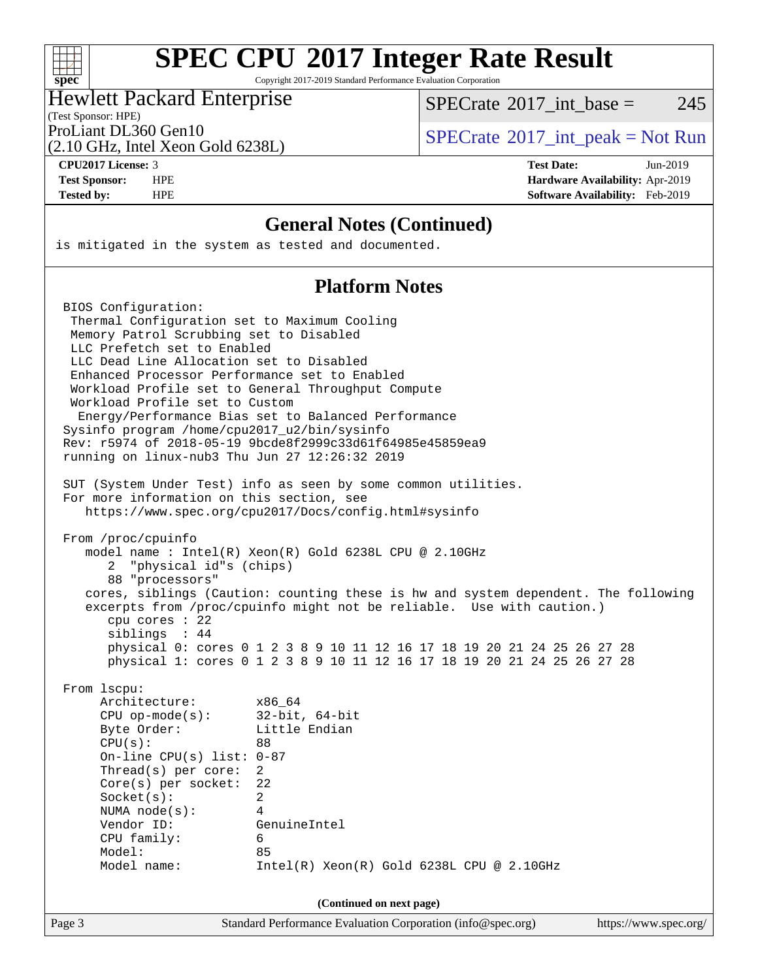#### $+\ +$ **[spec](http://www.spec.org/)**

# **[SPEC CPU](http://www.spec.org/auto/cpu2017/Docs/result-fields.html#SPECCPU2017IntegerRateResult)[2017 Integer Rate Result](http://www.spec.org/auto/cpu2017/Docs/result-fields.html#SPECCPU2017IntegerRateResult)**

Copyright 2017-2019 Standard Performance Evaluation Corporation

#### Hewlett Packard Enterprise

[SPECrate](http://www.spec.org/auto/cpu2017/Docs/result-fields.html#SPECrate2017intbase)<sup>®</sup>2017 int base = 245

#### (Test Sponsor: HPE)

(2.10 GHz, Intel Xeon Gold 6238L)

ProLiant DL360 Gen10  $SPECTR_{12}$  [SPECrate](http://www.spec.org/auto/cpu2017/Docs/result-fields.html#SPECrate2017intpeak)®[2017\\_int\\_peak = N](http://www.spec.org/auto/cpu2017/Docs/result-fields.html#SPECrate2017intpeak)ot Run

**[CPU2017 License:](http://www.spec.org/auto/cpu2017/Docs/result-fields.html#CPU2017License)** 3 **[Test Date:](http://www.spec.org/auto/cpu2017/Docs/result-fields.html#TestDate)** Jun-2019 **[Test Sponsor:](http://www.spec.org/auto/cpu2017/Docs/result-fields.html#TestSponsor)** HPE **[Hardware Availability:](http://www.spec.org/auto/cpu2017/Docs/result-fields.html#HardwareAvailability)** Apr-2019 **[Tested by:](http://www.spec.org/auto/cpu2017/Docs/result-fields.html#Testedby)** HPE **[Software Availability:](http://www.spec.org/auto/cpu2017/Docs/result-fields.html#SoftwareAvailability)** Feb-2019

#### **[General Notes \(Continued\)](http://www.spec.org/auto/cpu2017/Docs/result-fields.html#GeneralNotes)**

is mitigated in the system as tested and documented.

#### **[Platform Notes](http://www.spec.org/auto/cpu2017/Docs/result-fields.html#PlatformNotes)**

Page 3 Standard Performance Evaluation Corporation [\(info@spec.org\)](mailto:info@spec.org) <https://www.spec.org/> BIOS Configuration: Thermal Configuration set to Maximum Cooling Memory Patrol Scrubbing set to Disabled LLC Prefetch set to Enabled LLC Dead Line Allocation set to Disabled Enhanced Processor Performance set to Enabled Workload Profile set to General Throughput Compute Workload Profile set to Custom Energy/Performance Bias set to Balanced Performance Sysinfo program /home/cpu2017\_u2/bin/sysinfo Rev: r5974 of 2018-05-19 9bcde8f2999c33d61f64985e45859ea9 running on linux-nub3 Thu Jun 27 12:26:32 2019 SUT (System Under Test) info as seen by some common utilities. For more information on this section, see <https://www.spec.org/cpu2017/Docs/config.html#sysinfo> From /proc/cpuinfo model name : Intel(R) Xeon(R) Gold 6238L CPU @ 2.10GHz 2 "physical id"s (chips) 88 "processors" cores, siblings (Caution: counting these is hw and system dependent. The following excerpts from /proc/cpuinfo might not be reliable. Use with caution.) cpu cores : 22 siblings : 44 physical 0: cores 0 1 2 3 8 9 10 11 12 16 17 18 19 20 21 24 25 26 27 28 physical 1: cores 0 1 2 3 8 9 10 11 12 16 17 18 19 20 21 24 25 26 27 28 From lscpu: Architecture: x86\_64 CPU op-mode(s): 32-bit, 64-bit Byte Order: Little Endian  $CPU(s):$  88 On-line CPU(s) list: 0-87 Thread(s) per core: 2 Core(s) per socket: 22 Socket(s): 2 NUMA node(s): 4 Vendor ID: GenuineIntel CPU family: 6 Model: 85 Model name: Intel(R) Xeon(R) Gold 6238L CPU @ 2.10GHz **(Continued on next page)**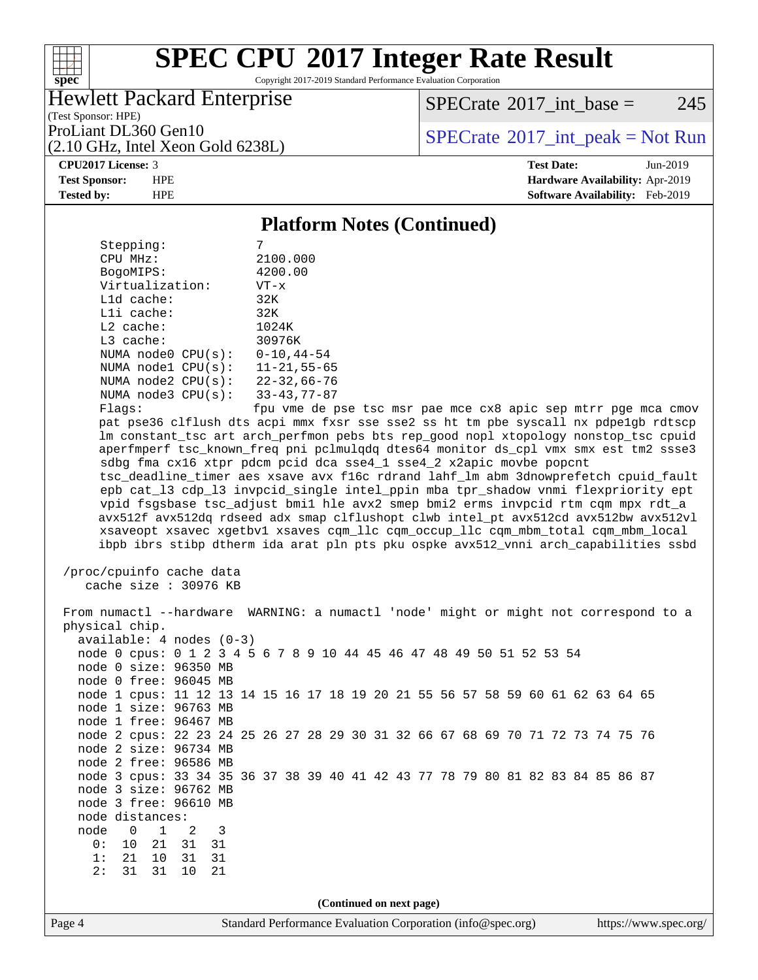#### **[SPEC CPU](http://www.spec.org/auto/cpu2017/Docs/result-fields.html#SPECCPU2017IntegerRateResult)[2017 Integer Rate Result](http://www.spec.org/auto/cpu2017/Docs/result-fields.html#SPECCPU2017IntegerRateResult)** Copyright 2017-2019 Standard Performance Evaluation Corporation

#### Hewlett Packard Enterprise

 $SPECTate$ <sup>®</sup>[2017\\_int\\_base =](http://www.spec.org/auto/cpu2017/Docs/result-fields.html#SPECrate2017intbase) 245

(Test Sponsor: HPE) (2.10 GHz, Intel Xeon Gold 6238L)

ProLiant DL360 Gen10<br>  $SPECTate$ <sup>®</sup>[2017\\_int\\_peak = N](http://www.spec.org/auto/cpu2017/Docs/result-fields.html#SPECrate2017intpeak)ot Run

**[CPU2017 License:](http://www.spec.org/auto/cpu2017/Docs/result-fields.html#CPU2017License)** 3 **[Test Date:](http://www.spec.org/auto/cpu2017/Docs/result-fields.html#TestDate)** Jun-2019 **[Test Sponsor:](http://www.spec.org/auto/cpu2017/Docs/result-fields.html#TestSponsor)** HPE **[Hardware Availability:](http://www.spec.org/auto/cpu2017/Docs/result-fields.html#HardwareAvailability)** Apr-2019 **[Tested by:](http://www.spec.org/auto/cpu2017/Docs/result-fields.html#Testedby)** HPE **[Software Availability:](http://www.spec.org/auto/cpu2017/Docs/result-fields.html#SoftwareAvailability)** Feb-2019

#### **[Platform Notes \(Continued\)](http://www.spec.org/auto/cpu2017/Docs/result-fields.html#PlatformNotes)**

| Stepping:                   |                    |
|-----------------------------|--------------------|
| CPU MHz:                    | 2100.000           |
| BogoMIPS:                   | 4200.00            |
| Virtualization:             | $VT - x$           |
| $L1d$ cache:                | 32K                |
| Lli cache:                  | 32K                |
| $L2$ cache:                 | 1024K              |
| $L3$ cache:                 | 30976K             |
| NUMA $node0$ $CPU(s)$ :     | $0 - 10, 44 - 54$  |
| NUMA node1 CPU(s):          | $11 - 21, 55 - 65$ |
| NUMA node2 CPU(s):          | $22 - 32,66 - 76$  |
| NUMA $node3$ $CPU(s):$      | $33 - 43, 77 - 87$ |
| $\Gamma$ ] arc $^{\bullet}$ | fnu wma da r       |

Flags: fpu vme de pse tsc msr pae mce cx8 apic sep mtrr pge mca cmov pat pse36 clflush dts acpi mmx fxsr sse sse2 ss ht tm pbe syscall nx pdpe1gb rdtscp lm constant\_tsc art arch\_perfmon pebs bts rep\_good nopl xtopology nonstop\_tsc cpuid aperfmperf tsc\_known\_freq pni pclmulqdq dtes64 monitor ds\_cpl vmx smx est tm2 ssse3 sdbg fma cx16 xtpr pdcm pcid dca sse4\_1 sse4\_2 x2apic movbe popcnt tsc\_deadline\_timer aes xsave avx f16c rdrand lahf\_lm abm 3dnowprefetch cpuid\_fault epb cat\_l3 cdp\_l3 invpcid\_single intel\_ppin mba tpr\_shadow vnmi flexpriority ept vpid fsgsbase tsc\_adjust bmi1 hle avx2 smep bmi2 erms invpcid rtm cqm mpx rdt\_a avx512f avx512dq rdseed adx smap clflushopt clwb intel\_pt avx512cd avx512bw avx512vl xsaveopt xsavec xgetbv1 xsaves cqm\_llc cqm\_occup\_llc cqm\_mbm\_total cqm\_mbm\_local ibpb ibrs stibp dtherm ida arat pln pts pku ospke avx512\_vnni arch\_capabilities ssbd

```
 /proc/cpuinfo cache data
   cache size : 30976 KB
```
Page 4 Standard Performance Evaluation Corporation [\(info@spec.org\)](mailto:info@spec.org) <https://www.spec.org/> From numactl --hardware WARNING: a numactl 'node' might or might not correspond to a physical chip. available: 4 nodes (0-3) node 0 cpus: 0 1 2 3 4 5 6 7 8 9 10 44 45 46 47 48 49 50 51 52 53 54 node 0 size: 96350 MB node 0 free: 96045 MB node 1 cpus: 11 12 13 14 15 16 17 18 19 20 21 55 56 57 58 59 60 61 62 63 64 65 node 1 size: 96763 MB node 1 free: 96467 MB node 2 cpus: 22 23 24 25 26 27 28 29 30 31 32 66 67 68 69 70 71 72 73 74 75 76 node 2 size: 96734 MB node 2 free: 96586 MB node 3 cpus: 33 34 35 36 37 38 39 40 41 42 43 77 78 79 80 81 82 83 84 85 86 87 node 3 size: 96762 MB node 3 free: 96610 MB node distances: node 0 1 2 3 0: 10 21 31 31 1: 21 10 31 31 2: 31 31 10 21 **(Continued on next page)**

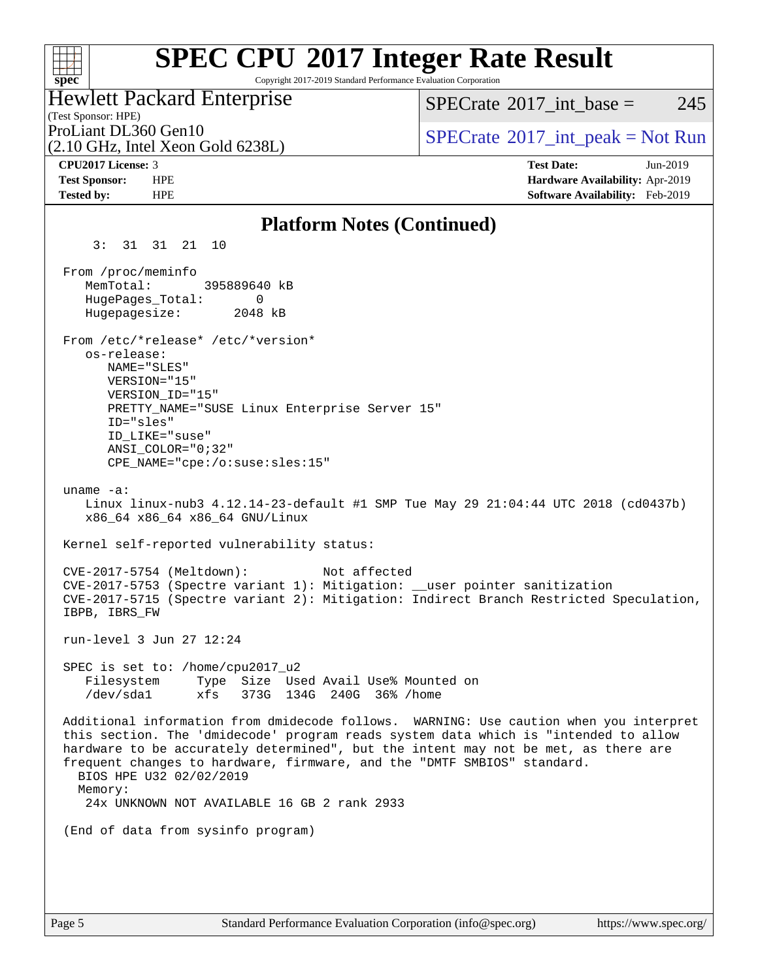#### **[SPEC CPU](http://www.spec.org/auto/cpu2017/Docs/result-fields.html#SPECCPU2017IntegerRateResult)[2017 Integer Rate Result](http://www.spec.org/auto/cpu2017/Docs/result-fields.html#SPECCPU2017IntegerRateResult)**  $+\ +$ Copyright 2017-2019 Standard Performance Evaluation Corporation **[spec](http://www.spec.org/)** Hewlett Packard Enterprise [SPECrate](http://www.spec.org/auto/cpu2017/Docs/result-fields.html#SPECrate2017intbase)<sup>®</sup>2017 int base = 245 (Test Sponsor: HPE) ProLiant DL360 Gen10<br>  $SPECTA = Not Run$ <br>  $SPECTA = Not Run$ (2.10 GHz, Intel Xeon Gold 6238L) **[CPU2017 License:](http://www.spec.org/auto/cpu2017/Docs/result-fields.html#CPU2017License)** 3 **[Test Date:](http://www.spec.org/auto/cpu2017/Docs/result-fields.html#TestDate)** Jun-2019 **[Test Sponsor:](http://www.spec.org/auto/cpu2017/Docs/result-fields.html#TestSponsor)** HPE **[Hardware Availability:](http://www.spec.org/auto/cpu2017/Docs/result-fields.html#HardwareAvailability)** Apr-2019 **[Tested by:](http://www.spec.org/auto/cpu2017/Docs/result-fields.html#Testedby)** HPE **[Software Availability:](http://www.spec.org/auto/cpu2017/Docs/result-fields.html#SoftwareAvailability)** Feb-2019 **[Platform Notes \(Continued\)](http://www.spec.org/auto/cpu2017/Docs/result-fields.html#PlatformNotes)** 3: 31 31 21 10 From /proc/meminfo MemTotal: 395889640 kB HugePages\_Total: 0 Hugepagesize: 2048 kB From /etc/\*release\* /etc/\*version\* os-release: NAME="SLES" VERSION="15" VERSION\_ID="15" PRETTY NAME="SUSE Linux Enterprise Server 15" ID="sles" ID\_LIKE="suse" ANSI\_COLOR="0;32" CPE\_NAME="cpe:/o:suse:sles:15" uname -a: Linux linux-nub3 4.12.14-23-default #1 SMP Tue May 29 21:04:44 UTC 2018 (cd0437b) x86\_64 x86\_64 x86\_64 GNU/Linux Kernel self-reported vulnerability status: CVE-2017-5754 (Meltdown): Not affected CVE-2017-5753 (Spectre variant 1): Mitigation: \_\_user pointer sanitization CVE-2017-5715 (Spectre variant 2): Mitigation: Indirect Branch Restricted Speculation, IBPB, IBRS\_FW run-level 3 Jun 27 12:24 SPEC is set to: /home/cpu2017\_u2 Filesystem Type Size Used Avail Use% Mounted on /dev/sda1 xfs 373G 134G 240G 36% /home Additional information from dmidecode follows. WARNING: Use caution when you interpret this section. The 'dmidecode' program reads system data which is "intended to allow hardware to be accurately determined", but the intent may not be met, as there are frequent changes to hardware, firmware, and the "DMTF SMBIOS" standard. BIOS HPE U32 02/02/2019 Memory: 24x UNKNOWN NOT AVAILABLE 16 GB 2 rank 2933 (End of data from sysinfo program)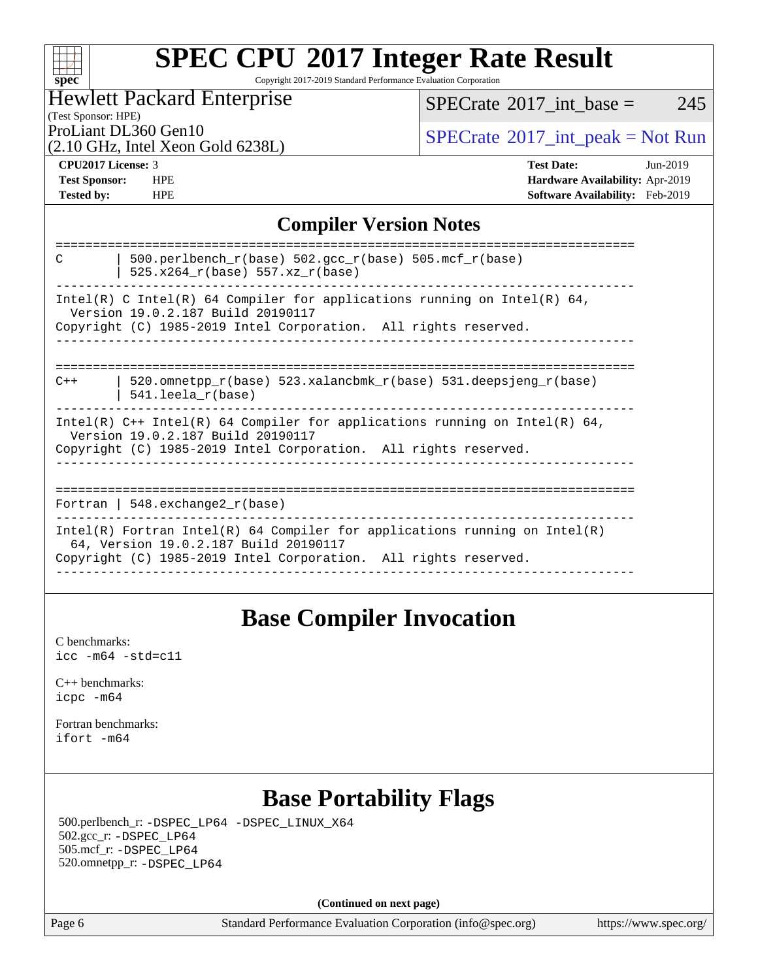#### **[SPEC CPU](http://www.spec.org/auto/cpu2017/Docs/result-fields.html#SPECCPU2017IntegerRateResult)[2017 Integer Rate Result](http://www.spec.org/auto/cpu2017/Docs/result-fields.html#SPECCPU2017IntegerRateResult)**  $+\ +$ **[spec](http://www.spec.org/)** Copyright 2017-2019 Standard Performance Evaluation Corporation Hewlett Packard Enterprise  $SPECTate$ <sup>®</sup>[2017\\_int\\_base =](http://www.spec.org/auto/cpu2017/Docs/result-fields.html#SPECrate2017intbase) 245 (Test Sponsor: HPE)

ProLiant DL360 Gen10<br>  $\begin{array}{c}\n\text{SPECTate} \textcirc 2017\_int\_peak = Not Run \\
\text{SPECTate} \textcirc 2017\_int\_peak = Not Run\n\end{array}$ 

### (2.10 GHz, Intel Xeon Gold 6238L)

**[Tested by:](http://www.spec.org/auto/cpu2017/Docs/result-fields.html#Testedby)** HPE **[Software Availability:](http://www.spec.org/auto/cpu2017/Docs/result-fields.html#SoftwareAvailability)** Feb-2019

**[CPU2017 License:](http://www.spec.org/auto/cpu2017/Docs/result-fields.html#CPU2017License)** 3 **[Test Date:](http://www.spec.org/auto/cpu2017/Docs/result-fields.html#TestDate)** Jun-2019 **[Test Sponsor:](http://www.spec.org/auto/cpu2017/Docs/result-fields.html#TestSponsor)** HPE **[Hardware Availability:](http://www.spec.org/auto/cpu2017/Docs/result-fields.html#HardwareAvailability)** Apr-2019

#### **[Compiler Version Notes](http://www.spec.org/auto/cpu2017/Docs/result-fields.html#CompilerVersionNotes)**

| 500.perlbench $r(base)$ 502.qcc $r(base)$ 505.mcf $r(base)$<br>C<br>$525.x264_r(base) 557.xz_r(base)$                                                                                  |
|----------------------------------------------------------------------------------------------------------------------------------------------------------------------------------------|
| Intel(R) C Intel(R) 64 Compiler for applications running on Intel(R) 64,<br>Version 19.0.2.187 Build 20190117<br>Copyright (C) 1985-2019 Intel Corporation. All rights reserved.       |
| 520.omnetpp $r(base)$ 523.xalancbmk $r(base)$ 531.deepsjeng $r(base)$<br>$C++$<br>$541.$ leela r(base)                                                                                 |
| Intel(R) $C++$ Intel(R) 64 Compiler for applications running on Intel(R) 64,<br>Version 19.0.2.187 Build 20190117<br>Copyright (C) 1985-2019 Intel Corporation. All rights reserved.   |
| Fortran   548.exchange2 $r(base)$                                                                                                                                                      |
| Intel(R) Fortran Intel(R) 64 Compiler for applications running on Intel(R)<br>64, Version 19.0.2.187 Build 20190117<br>Copyright (C) 1985-2019 Intel Corporation. All rights reserved. |
|                                                                                                                                                                                        |

## **[Base Compiler Invocation](http://www.spec.org/auto/cpu2017/Docs/result-fields.html#BaseCompilerInvocation)**

[C benchmarks](http://www.spec.org/auto/cpu2017/Docs/result-fields.html#Cbenchmarks): [icc -m64 -std=c11](http://www.spec.org/cpu2017/results/res2019q4/cpu2017-20190819-16928.flags.html#user_CCbase_intel_icc_64bit_c11_33ee0cdaae7deeeab2a9725423ba97205ce30f63b9926c2519791662299b76a0318f32ddfffdc46587804de3178b4f9328c46fa7c2b0cd779d7a61945c91cd35)

[C++ benchmarks:](http://www.spec.org/auto/cpu2017/Docs/result-fields.html#CXXbenchmarks) [icpc -m64](http://www.spec.org/cpu2017/results/res2019q4/cpu2017-20190819-16928.flags.html#user_CXXbase_intel_icpc_64bit_4ecb2543ae3f1412ef961e0650ca070fec7b7afdcd6ed48761b84423119d1bf6bdf5cad15b44d48e7256388bc77273b966e5eb805aefd121eb22e9299b2ec9d9)

[Fortran benchmarks](http://www.spec.org/auto/cpu2017/Docs/result-fields.html#Fortranbenchmarks): [ifort -m64](http://www.spec.org/cpu2017/results/res2019q4/cpu2017-20190819-16928.flags.html#user_FCbase_intel_ifort_64bit_24f2bb282fbaeffd6157abe4f878425411749daecae9a33200eee2bee2fe76f3b89351d69a8130dd5949958ce389cf37ff59a95e7a40d588e8d3a57e0c3fd751)

## **[Base Portability Flags](http://www.spec.org/auto/cpu2017/Docs/result-fields.html#BasePortabilityFlags)**

 500.perlbench\_r: [-DSPEC\\_LP64](http://www.spec.org/cpu2017/results/res2019q4/cpu2017-20190819-16928.flags.html#b500.perlbench_r_basePORTABILITY_DSPEC_LP64) [-DSPEC\\_LINUX\\_X64](http://www.spec.org/cpu2017/results/res2019q4/cpu2017-20190819-16928.flags.html#b500.perlbench_r_baseCPORTABILITY_DSPEC_LINUX_X64) 502.gcc\_r: [-DSPEC\\_LP64](http://www.spec.org/cpu2017/results/res2019q4/cpu2017-20190819-16928.flags.html#suite_basePORTABILITY502_gcc_r_DSPEC_LP64) 505.mcf\_r: [-DSPEC\\_LP64](http://www.spec.org/cpu2017/results/res2019q4/cpu2017-20190819-16928.flags.html#suite_basePORTABILITY505_mcf_r_DSPEC_LP64) 520.omnetpp\_r: [-DSPEC\\_LP64](http://www.spec.org/cpu2017/results/res2019q4/cpu2017-20190819-16928.flags.html#suite_basePORTABILITY520_omnetpp_r_DSPEC_LP64)

**(Continued on next page)**

Page 6 Standard Performance Evaluation Corporation [\(info@spec.org\)](mailto:info@spec.org) <https://www.spec.org/>